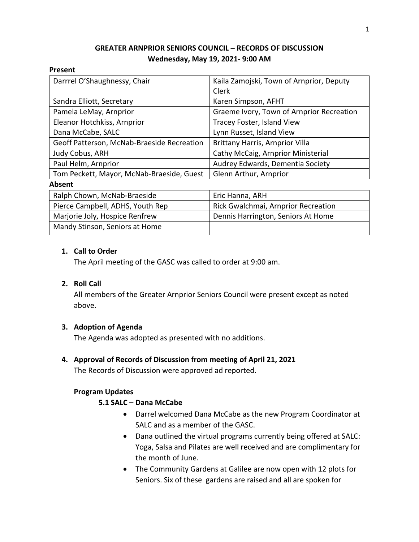# **GREATER ARNPRIOR SENIORS COUNCIL – RECORDS OF DISCUSSION Wednesday, May 19, 2021- 9:00 AM**

### **Present**

| Darrrel O'Shaughnessy, Chair               | Kaila Zamojski, Town of Arnprior, Deputy  |
|--------------------------------------------|-------------------------------------------|
|                                            | Clerk                                     |
| Sandra Elliott, Secretary                  | Karen Simpson, AFHT                       |
| Pamela LeMay, Arnprior                     | Graeme Ivory, Town of Arnprior Recreation |
| Eleanor Hotchkiss, Arnprior                | Tracey Foster, Island View                |
| Dana McCabe, SALC                          | Lynn Russet, Island View                  |
| Geoff Patterson, McNab-Braeside Recreation | <b>Brittany Harris, Arnprior Villa</b>    |
| Judy Cobus, ARH                            | Cathy McCaig, Arnprior Ministerial        |
| Paul Helm, Arnprior                        | Audrey Edwards, Dementia Society          |
| Tom Peckett, Mayor, McNab-Braeside, Guest  | Glenn Arthur, Arnprior                    |
| .                                          |                                           |

#### **Absent**

| Ralph Chown, McNab-Braeside      | Eric Hanna, ARH                     |
|----------------------------------|-------------------------------------|
| Pierce Campbell, ADHS, Youth Rep | Rick Gwalchmai, Arnprior Recreation |
| Marjorie Joly, Hospice Renfrew   | Dennis Harrington, Seniors At Home  |
| Mandy Stinson, Seniors at Home   |                                     |

### **1. Call to Order**

The April meeting of the GASC was called to order at 9:00 am.

### **2. Roll Call**

All members of the Greater Arnprior Seniors Council were present except as noted above.

### **3. Adoption of Agenda**

The Agenda was adopted as presented with no additions.

# **4. Approval of Records of Discussion from meeting of April 21, 2021**

The Records of Discussion were approved ad reported.

### **Program Updates**

# **5.1 SALC – Dana McCabe**

- Darrel welcomed Dana McCabe as the new Program Coordinator at SALC and as a member of the GASC.
- Dana outlined the virtual programs currently being offered at SALC: Yoga, Salsa and Pilates are well received and are complimentary for the month of June.
- The Community Gardens at Galilee are now open with 12 plots for Seniors. Six of these gardens are raised and all are spoken for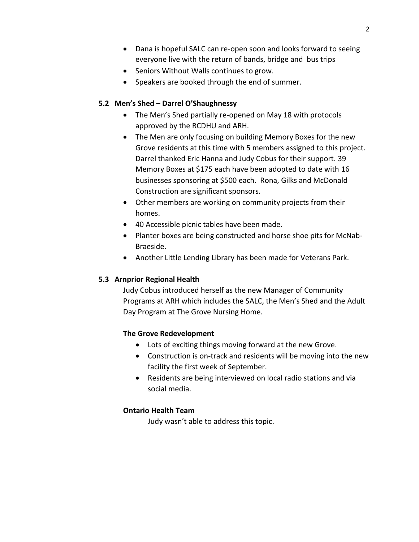- Dana is hopeful SALC can re-open soon and looks forward to seeing everyone live with the return of bands, bridge and bus trips
- Seniors Without Walls continues to grow.
- Speakers are booked through the end of summer.

### **5.2 Men's Shed – Darrel O'Shaughnessy**

- The Men's Shed partially re-opened on May 18 with protocols approved by the RCDHU and ARH.
- The Men are only focusing on building Memory Boxes for the new Grove residents at this time with 5 members assigned to this project. Darrel thanked Eric Hanna and Judy Cobus for their support. 39 Memory Boxes at \$175 each have been adopted to date with 16 businesses sponsoring at \$500 each. Rona, Gilks and McDonald Construction are significant sponsors.
- Other members are working on community projects from their homes.
- 40 Accessible picnic tables have been made.
- Planter boxes are being constructed and horse shoe pits for McNab-Braeside.
- Another Little Lending Library has been made for Veterans Park.

# **5.3 Arnprior Regional Health**

Judy Cobus introduced herself as the new Manager of Community Programs at ARH which includes the SALC, the Men's Shed and the Adult Day Program at The Grove Nursing Home.

# **The Grove Redevelopment**

- Lots of exciting things moving forward at the new Grove.
- Construction is on-track and residents will be moving into the new facility the first week of September.
- Residents are being interviewed on local radio stations and via social media.

# **Ontario Health Team**

Judy wasn't able to address this topic.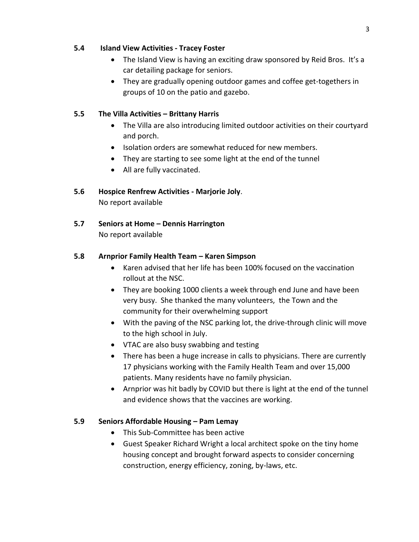### **5.4 Island View Activities - Tracey Foster**

- The Island View is having an exciting draw sponsored by Reid Bros. It's a car detailing package for seniors.
- They are gradually opening outdoor games and coffee get-togethers in groups of 10 on the patio and gazebo.

# **5.5 The Villa Activities – Brittany Harris**

- The Villa are also introducing limited outdoor activities on their courtyard and porch.
- Isolation orders are somewhat reduced for new members.
- They are starting to see some light at the end of the tunnel
- All are fully vaccinated.

# **5.6 Hospice Renfrew Activities - Marjorie Joly**.

No report available

# **5.7 Seniors at Home – Dennis Harrington**

No report available

# **5.8 Arnprior Family Health Team – Karen Simpson**

- Karen advised that her life has been 100% focused on the vaccination rollout at the NSC.
- They are booking 1000 clients a week through end June and have been very busy. She thanked the many volunteers, the Town and the community for their overwhelming support
- With the paving of the NSC parking lot, the drive-through clinic will move to the high school in July.
- VTAC are also busy swabbing and testing
- There has been a huge increase in calls to physicians. There are currently 17 physicians working with the Family Health Team and over 15,000 patients. Many residents have no family physician.
- Arnprior was hit badly by COVID but there is light at the end of the tunnel and evidence shows that the vaccines are working.

# **5.9 Seniors Affordable Housing – Pam Lemay**

- This Sub-Committee has been active
- Guest Speaker Richard Wright a local architect spoke on the tiny home housing concept and brought forward aspects to consider concerning construction, energy efficiency, zoning, by-laws, etc.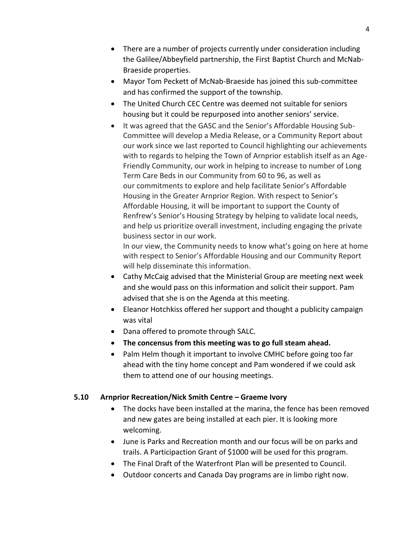- There are a number of projects currently under consideration including the Galilee/Abbeyfield partnership, the First Baptist Church and McNab-Braeside properties.
- Mayor Tom Peckett of McNab-Braeside has joined this sub-committee and has confirmed the support of the township.
- The United Church CEC Centre was deemed not suitable for seniors housing but it could be repurposed into another seniors' service.
- It was agreed that the GASC and the Senior's Affordable Housing Sub-Committee will develop a Media Release, or a Community Report about our work since we last reported to Council highlighting our achievements with to regards to helping the Town of Arnprior establish itself as an Age-Friendly Community, our work in helping to increase to number of Long Term Care Beds in our Community from 60 to 96, as well as our commitments to explore and help facilitate Senior's Affordable Housing in the Greater Arnprior Region. With respect to Senior's Affordable Housing, it will be important to support the County of Renfrew's Senior's Housing Strategy by helping to validate local needs, and help us prioritize overall investment, including engaging the private business sector in our work.

In our view, the Community needs to know what's going on here at home with respect to Senior's Affordable Housing and our Community Report will help disseminate this information.

- Cathy McCaig advised that the Ministerial Group are meeting next week and she would pass on this information and solicit their support. Pam advised that she is on the Agenda at this meeting.
- Eleanor Hotchkiss offered her support and thought a publicity campaign was vital
- Dana offered to promote through SALC.
- **The concensus from this meeting was to go full steam ahead.**
- Palm Helm though it important to involve CMHC before going too far ahead with the tiny home concept and Pam wondered if we could ask them to attend one of our housing meetings.

# **5.10 Arnprior Recreation/Nick Smith Centre – Graeme Ivory**

- The docks have been installed at the marina, the fence has been removed and new gates are being installed at each pier. It is looking more welcoming.
- June is Parks and Recreation month and our focus will be on parks and trails. A Participaction Grant of \$1000 will be used for this program.
- The Final Draft of the Waterfront Plan will be presented to Council.
- Outdoor concerts and Canada Day programs are in limbo right now.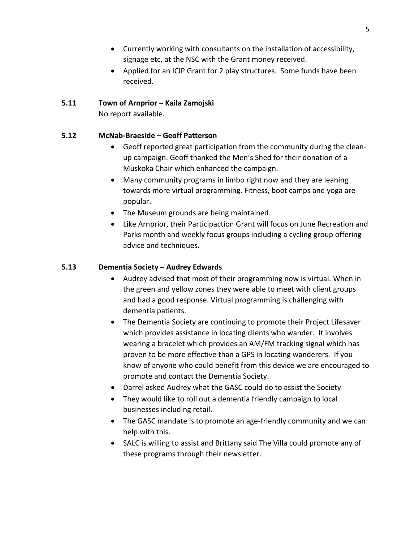- Currently working with consultants on the installation of accessibility, signage etc, at the NSC with the Grant money received.
- Applied for an ICIP Grant for 2 play structures. Some funds have been received.

# **5.11 Town of Arnprior – Kaila Zamojski**

No report available.

# **5.12 McNab-Braeside – Geoff Patterson**

- Geoff reported great participation from the community during the cleanup campaign. Geoff thanked the Men's Shed for their donation of a Muskoka Chair which enhanced the campaign.
- Many community programs in limbo right now and they are leaning towards more virtual programming. Fitness, boot camps and yoga are popular.
- The Museum grounds are being maintained.
- Like Arnprior, their Participaction Grant will focus on June Recreation and Parks month and weekly focus groups including a cycling group offering advice and techniques.

# **5.13 Dementia Society – Audrey Edwards**

- Audrey advised that most of their programming now is virtual. When in the green and yellow zones they were able to meet with client groups and had a good response. Virtual programming is challenging with dementia patients.
- The Dementia Society are continuing to promote their Project Lifesaver which provides assistance in locating clients who wander. It involves wearing a bracelet which provides an AM/FM tracking signal which has proven to be more effective than a GPS in locating wanderers. If you know of anyone who could benefit from this device we are encouraged to promote and contact the Dementia Society.
- Darrel asked Audrey what the GASC could do to assist the Society
- They would like to roll out a dementia friendly campaign to local businesses including retail.
- The GASC mandate is to promote an age-friendly community and we can help with this.
- SALC is willing to assist and Brittany said The Villa could promote any of these programs through their newsletter.